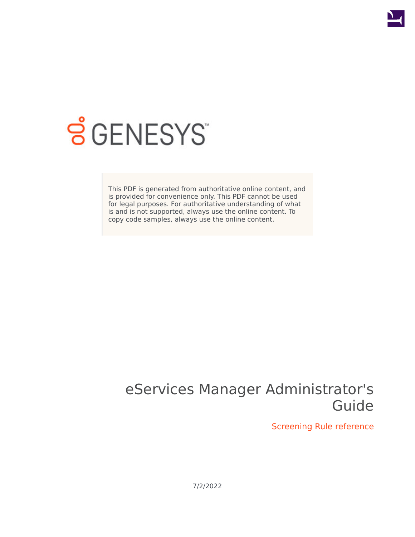

# **SGENESYS**

This PDF is generated from authoritative online content, and is provided for convenience only. This PDF cannot be used for legal purposes. For authoritative understanding of what is and is not supported, always use the online content. To copy code samples, always use the online content.

## eServices Manager Administrator's Guide

Screening Rule reference

7/2/2022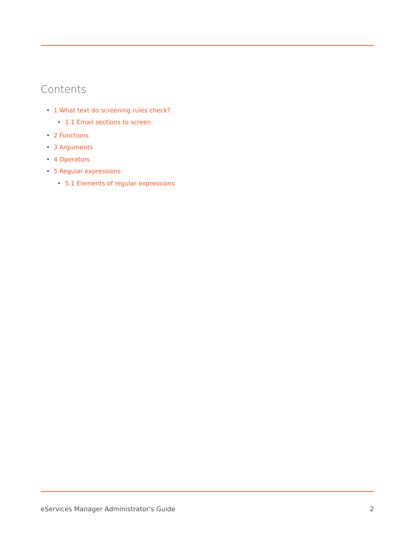## Contents

- 1 [What text do screening rules check?](#page-2-0)
	- 1.1 [Email sections to screen](#page-3-0)
- 2 [Functions](#page-3-1)
- 3 [Arguments](#page-4-0)
- 4 [Operators](#page-5-0)
- 5 [Regular expressions](#page-5-1)
	- 5.1 [Elements of regular expressions](#page-6-0)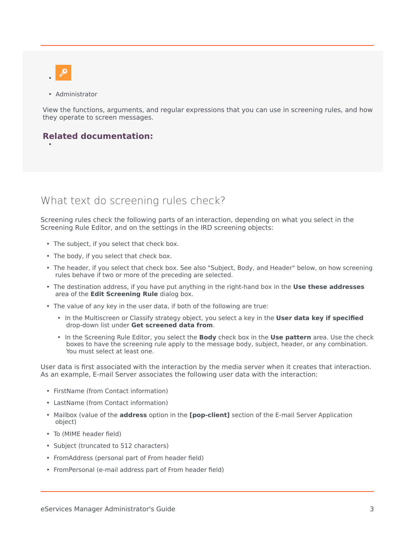

•

• Administrator

View the functions, arguments, and regular expressions that you can use in screening rules, and how they operate to screen messages.

## **Related documentation:**

## <span id="page-2-0"></span>What text do screening rules check?

Screening rules check the following parts of an interaction, depending on what you select in the Screening Rule Editor, and on the settings in the IRD screening objects:

- The subject, if you select that check box.
- The body, if you select that check box.
- The header, if you select that check box. See also "Subject, Body, and Header" below, on how screening rules behave if two or more of the preceding are selected.
- The destination address, if you have put anything in the right-hand box in the **Use these addresses** area of the **Edit Screening Rule** dialog box.
- The value of any key in the user data, if both of the following are true:
	- In the Multiscreen or Classify strategy object, you select a key in the **User data key if specified** drop-down list under **Get screened data from**.
	- In the Screening Rule Editor, you select the **Body** check box in the **Use pattern** area. Use the check boxes to have the screening rule apply to the message body, subject, header, or any combination. You must select at least one.

User data is first associated with the interaction by the media server when it creates that interaction. As an example, E-mail Server associates the following user data with the interaction:

- FirstName (from Contact information)
- LastName (from Contact information)
- Mailbox (value of the **address** option in the **[pop-client]** section of the E-mail Server Application object)
- To (MIME header field)
- Subject (truncated to 512 characters)
- FromAddress (personal part of From header field)
- FromPersonal (e-mail address part of From header field)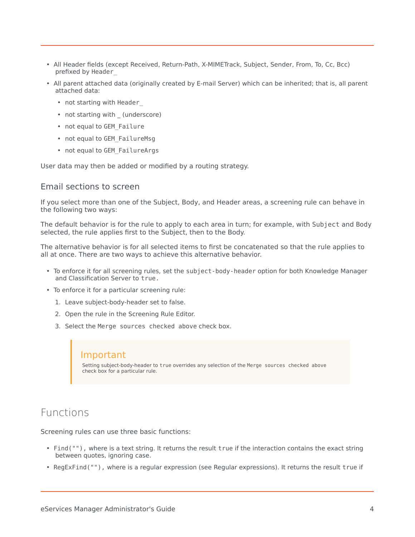- All Header fields (except Received, Return-Path, X-MIMETrack, Subject, Sender, From, To, Cc, Bcc) prefixed by Header\_
- All parent attached data (originally created by E-mail Server) which can be inherited; that is, all parent attached data:
	- not starting with Header
	- not starting with (underscore)
	- not equal to GEM\_Failure
	- not equal to GEM FailureMsg
	- not equal to GEM FailureArgs

User data may then be added or modified by a routing strategy.

#### <span id="page-3-0"></span>Email sections to screen

If you select more than one of the Subject, Body, and Header areas, a screening rule can behave in the following two ways:

The default behavior is for the rule to apply to each area in turn; for example, with Subject and Body selected, the rule applies first to the Subject, then to the Body.

The alternative behavior is for all selected items to first be concatenated so that the rule applies to all at once. There are two ways to achieve this alternative behavior.

- To enforce it for all screening rules, set the subject-body-header option for both Knowledge Manager and Classification Server to true.
- To enforce it for a particular screening rule:
	- 1. Leave subject-body-header set to false.
	- 2. Open the rule in the Screening Rule Editor.
	- 3. Select the Merge sources checked above check box.

#### Important

Setting subject-body-header to true overrides any selection of the Merge sources checked above check box for a particular rule.

## <span id="page-3-1"></span>Functions

Screening rules can use three basic functions:

- Find(""), where is a text string. It returns the result true if the interaction contains the exact string between quotes, ignoring case.
- RegExFind(""), where is a regular expression (see Regular expressions). It returns the result true if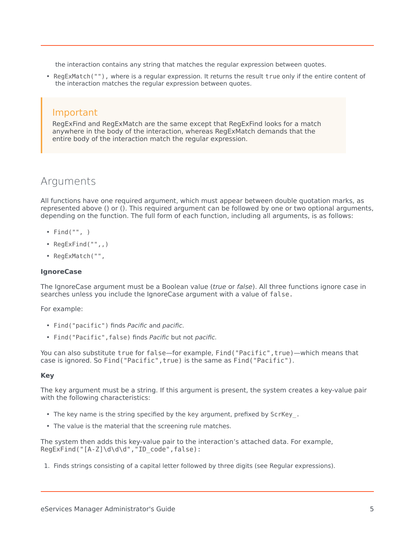the interaction contains any string that matches the regular expression between quotes.

• RegExMatch(""), where is a regular expression. It returns the result true only if the entire content of the interaction matches the regular expression between quotes.

### Important

RegExFind and RegExMatch are the same except that RegExFind looks for a match anywhere in the body of the interaction, whereas RegExMatch demands that the entire body of the interaction match the regular expression.

## <span id="page-4-0"></span>Arguments

All functions have one required argument, which must appear between double quotation marks, as represented above () or (). This required argument can be followed by one or two optional arguments, depending on the function. The full form of each function, including all arguments, is as follows:

- Find("", )
- RegExFind("",,)
- RegExMatch("",

#### **IgnoreCase**

The IgnoreCase argument must be a Boolean value (*true* or *false*). All three functions ignore case in searches unless you include the IgnoreCase argument with a value of false.

For example:

- Find("pacific") finds Pacific and pacific.
- Find("Pacific",false) finds Pacific but not pacific.

You can also substitute true for false—for example, Find ("Pacific", true)—which means that case is ignored. So Find("Pacific",true) is the same as Find("Pacific").

#### **Key**

The key argument must be a string. If this argument is present, the system creates a key-value pair with the following characteristics:

- The key name is the string specified by the key argument, prefixed by ScrKey\_.
- The value is the material that the screening rule matches.

The system then adds this key-value pair to the interaction's attached data. For example, RegExFind("[A-Z]\d\d\d","ID\_code",false):

1. Finds strings consisting of a capital letter followed by three digits (see Regular expressions).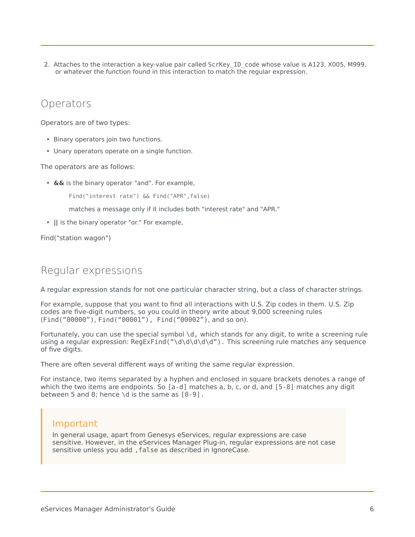2. Attaches to the interaction a key-value pair called ScrKey\_ID\_code whose value is A123, X005, M999, or whatever the function found in this interaction to match the regular expression.

## <span id="page-5-0"></span>Operators

Operators are of two types:

- Binary operators join two functions.
- Unary operators operate on a single function.

The operators are as follows:

- **&&** is the binary operator "and". For example,
	- Find("interest rate") && Find("APR",false)

matches a message only if it includes both "interest rate" and "APR."

• **||** is the binary operator "or." For example,

Find("station wagon")

## <span id="page-5-1"></span>Regular expressions

A regular expression stands for not one particular character string, but a class of character strings.

For example, suppose that you want to find all interactions with U.S. Zip codes in them. U.S. Zip codes are five-digit numbers, so you could in theory write about 9,000 screening rules (Find("00000"), Find("00001"), Find("00002"), and so on).

Fortunately, you can use the special symbol  $\dagger$ , which stands for any digit, to write a screening rule using a regular expression: RegExFind("\d\d\d\d\d"). This screening rule matches any sequence of five digits.

There are often several different ways of writing the same regular expression.

For instance, two items separated by a hyphen and enclosed in square brackets denotes a range of which the two items are endpoints. So [a-d] matches a, b, c, or d, and [5-8] matches any digit between 5 and 8; hence \d is the same as  $[0-9]$ .

## Important

In general usage, apart from Genesys eServices, regular expressions are case sensitive. However, in the eServices Manager Plug-in, regular expressions are not case sensitive unless you add, false as described in IgnoreCase.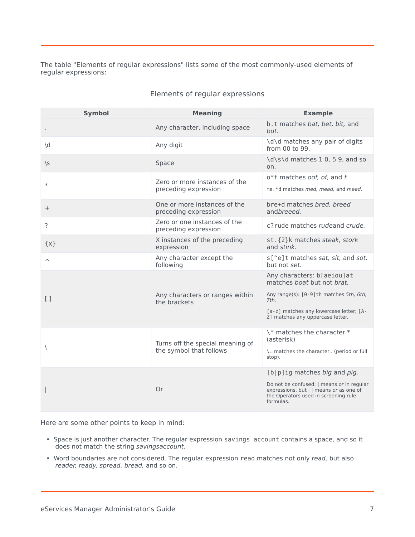#### The table "Elements of regular expressions" lists some of the most commonly-used elements of regular expressions:

<span id="page-6-0"></span>

| <b>Symbol</b>           | <b>Meaning</b>                                              | <b>Example</b>                                                                                                                            |
|-------------------------|-------------------------------------------------------------|-------------------------------------------------------------------------------------------------------------------------------------------|
|                         | Any character, including space                              | b.t matches bat, bet, bit, and<br>but.                                                                                                    |
| \d                      | Any digit                                                   | \d\d matches any pair of digits<br>from 00 to 99.                                                                                         |
| $\sqrt{S}$              | Space                                                       | \d\s\d matches 1 0, 5 9, and so<br>on.                                                                                                    |
| $\ast$                  | Zero or more instances of the<br>preceding expression       | o*f matches oof, of, and f.<br>me.*d matches med, mead, and meed.                                                                         |
| $^{+}$                  | One or more instances of the<br>preceding expression        | bre+d matches bred, breed<br>andbreeed.                                                                                                   |
| ?                       | Zero or one instances of the<br>preceding expression        | c?rude matches rudeand crude.                                                                                                             |
| $\{x\}$                 | X instances of the preceding<br>expression                  | st. {2}k matches steak, stork<br>and stink.                                                                                               |
| $\widehat{\phantom{a}}$ | Any character except the<br>following                       | s[^e]t matches sat, sit, and sot,<br>but not set.                                                                                         |
|                         |                                                             | Any characters: b[aeiou]at<br>matches boat but not brat.                                                                                  |
| $\left[\right]$         | Any characters or ranges within<br>the brackets             | Any range(s): [0-9] th matches 5th, 6th,<br>7th.                                                                                          |
|                         |                                                             | [a-z] matches any lowercase letter; [A-<br>Z] matches any uppercase letter.                                                               |
| $\backslash$            | Turns off the special meaning of<br>the symbol that follows | \* matches the character *<br>(asterisk)                                                                                                  |
|                         |                                                             | \. matches the character . (period or full<br>stop).                                                                                      |
|                         |                                                             | [b p]ig matches big and pig.                                                                                                              |
|                         | Or                                                          | Do not be confused:   means or in regular<br>expressions, but     means or as one of<br>the Operators used in screening rule<br>formulas. |

#### Elements of regular expressions

Here are some other points to keep in mind:

- Space is just another character. The regular expression savings account contains a space, and so it does not match the string savingsaccount.
- Word boundaries are not considered. The regular expression read matches not only read, but also reader, ready, spread, bread, and so on.